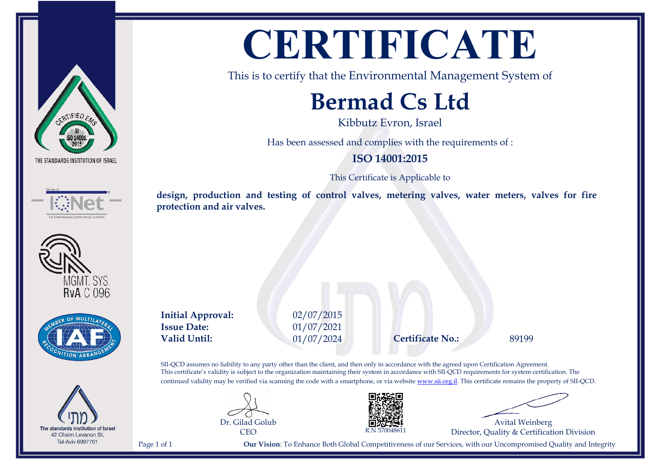









## **CERTIFICATE**

This is to certify that the Environmental Management System of

### **Bermad Cs Ltd**

Kibbutz Evron, Israel

Has been assessed and complies with the requirements of :

### **ISO 14001:2015**

This Certificate is Applicable to

**design, production and testing of control valves, metering valves, water meters, valves for fire protection and air valves.**

**Initial Approval:** 02/07/2015 **Issue Date:** 01/07/2021 **Valid Until:** 01/07/2024 **Certificate No.:** 89199

SII-QCD assumes no liability to any party other than the client, and then only in accordance with the agreed upon Certification Agreement. This certificate's validity is subject to the organization maintaining their system in accordance with SII-QCD requirements for system certification. The continued validity may be verified via scanning the code with a smartphone, or via website [www.sii.org.il.](http://www.sii.org.il) This certificate remains the property of SII-QCD.





Avital Weinberg Director, Quality & Certification Division

Page 1 of 1 **Our Vision**: To Enhance Both Global Competitiveness of our Services, with our Uncompromised Quality and Integrity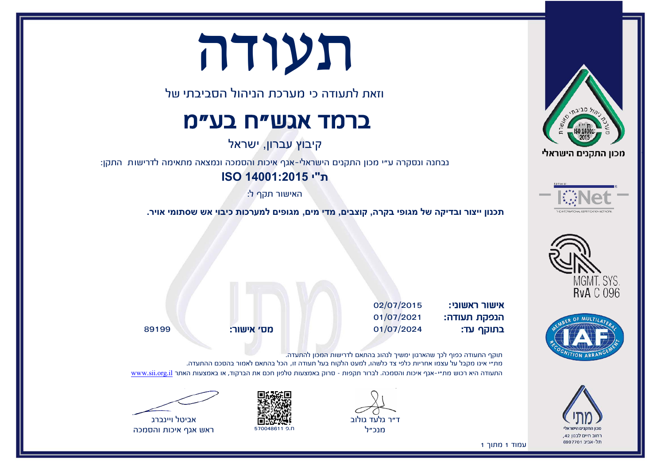# תעודה

וזאת לתעודה כי מערכת הניהול הסביבתי של

### ברמד אגש"ח בע"מ

קיבוץ עברון, ישראל

נבחנה ונסקרה ע״י מכון התקנים הישראלי-אגף איכות והסמכה ונמצאה מתאימה לדרישות התקן:

**ת"י 14001:2015 ISO**

האישור תקף ל:

**י אויר.תכנון ייצור ובדיקה של מגופי בקרה, קוצבים, מדי מים, מגופים למערכות כיבוי אש שסתומ**

אישור ראשוני: 02/07/2015 הנפקת תעודה: 01/07/2021 בתוקף עד: 01/07/2024 מס' אישור: 89199

תוקף התעודה כפוף לכך שהארגון ימשיך לנהוג בהתאם לדרישות המכון להתעדה. מת״י אינו מקבל על עצמו אחריות כלפי צד כלשהו, למעט הלקוח בעל תעודה זו, הכל בהתאם לאמור בהסכם ההתעדה. התעודה היא רכוש מת״י-אגף איכות והסמכה. לברור תקפות - סרוק באמצעות טלפון חכם את הברקוד, או באמצעות האתר www.sii.org.i









ראש אגף איכות והסמכה











1מתוך1עמוד